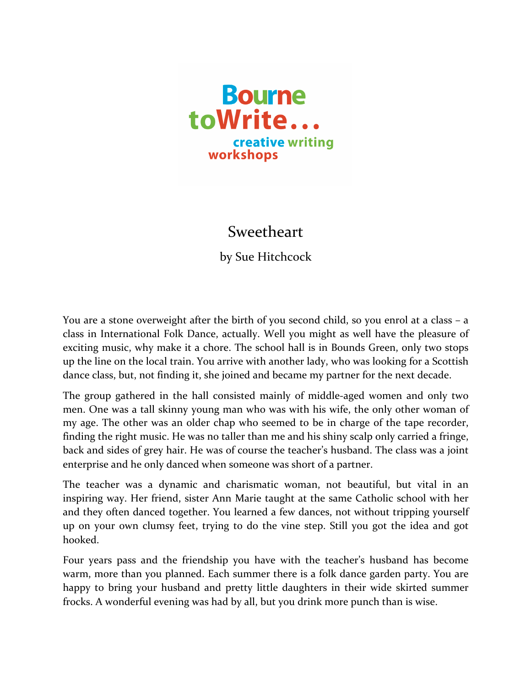

## Sweetheart

by Sue Hitchcock

You are a stone overweight after the birth of you second child, so you enrol at a class  $-$  a class in International Folk Dance, actually. Well you might as well have the pleasure of exciting music, why make it a chore. The school hall is in Bounds Green, only two stops up the line on the local train. You arrive with another lady, who was looking for a Scottish dance class, but, not finding it, she joined and became my partner for the next decade.

The group gathered in the hall consisted mainly of middle-aged women and only two men. One was a tall skinny young man who was with his wife, the only other woman of my age. The other was an older chap who seemed to be in charge of the tape recorder, finding the right music. He was no taller than me and his shiny scalp only carried a fringe, back and sides of grey hair. He was of course the teacher's husband. The class was a joint enterprise and he only danced when someone was short of a partner.

The teacher was a dynamic and charismatic woman, not beautiful, but vital in an inspiring way. Her friend, sister Ann Marie taught at the same Catholic school with her and they often danced together. You learned a few dances, not without tripping yourself up on your own clumsy feet, trying to do the vine step. Still you got the idea and got hooked.

Four years pass and the friendship you have with the teacher's husband has become warm, more than you planned. Each summer there is a folk dance garden party. You are happy to bring your husband and pretty little daughters in their wide skirted summer frocks. A wonderful evening was had by all, but you drink more punch than is wise.